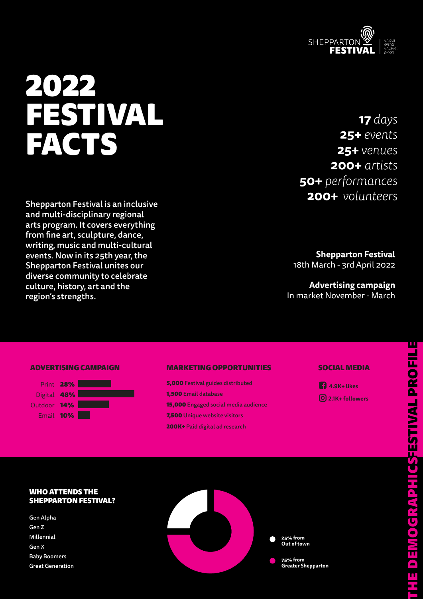

# 2022 FESTIVAL FACTS

Shepparton Festival is an inclusive and multi-disciplinary regional arts program. It covers everything from fine art, sculpture, dance, writing, music and multi-cultural events. Now in its 25th year, the Shepparton Festival unites our diverse community to celebrate culture, history, art and the region's strengths.

# **17** *days*  **25+** *events* **25+** *venues* **200+** *artists* **50+** *performances* **200+** *volunteers*

**Shepparton Festival**  18th March - 3rd April 2022

**Advertising campaign**  In market November - March

### ADVERTISING CAMPAIGN



#### MARKETING OPPORTUNITIES

5,000 Festival guides distributed 1,500 Email database 15,000 Engaged social media audience 7,500 Unique website visitors 200K+ Paid digital ad research

### SOCIAL MEDIA



## WHO ATTENDS THE SHEPPARTON FESTIVAL?

Gen Alpha Gen Z Millennial Gen X Baby Boomers Great Generation